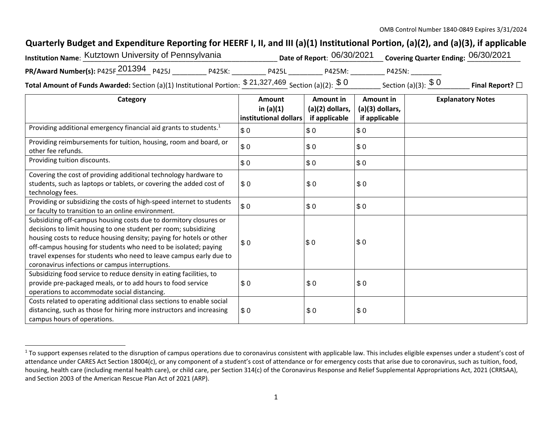## **Quarterly Budget and Expenditure Reporting for HEERF I, II, and III (a)(1) Institutional Portion, (a)(2), and (a)(3), if applicable**

| Institution Name: Kutztown University of Pennsylvania |        |              | Date of Report: 06/30/2021 Covering Quarter Ending: 06/30/2021 |       |  |  |
|-------------------------------------------------------|--------|--------------|----------------------------------------------------------------|-------|--|--|
| PR/Award Number(s): P425F 201394 P425J                | P425K: | P425         | P425M:                                                         | P425N |  |  |
|                                                       |        | C 21 227 160 |                                                                |       |  |  |

**Total Amount of Funds Awarded:** Section (a)(1) Institutional Portion:  $\frac{\$~21,327,469}{\$~3cm}$  Section (a)(2):  $\frac{\$~0}{\$~0}$  \_\_\_\_\_\_\_\_\_\_\_ Section (a)(3):  $\frac{\$~0}{\$~0}$  \_\_\_\_\_\_\_\_ **Final Report?**  $\Box$ 

| Category                                                                                                                                                                                                                                                                                                                                                                                                | Amount<br>in $(a)(1)$ | Amount in                        | Amount in<br>$(a)(3)$ dollars, | <b>Explanatory Notes</b> |
|---------------------------------------------------------------------------------------------------------------------------------------------------------------------------------------------------------------------------------------------------------------------------------------------------------------------------------------------------------------------------------------------------------|-----------------------|----------------------------------|--------------------------------|--------------------------|
|                                                                                                                                                                                                                                                                                                                                                                                                         | institutional dollars | (a)(2) dollars,<br>if applicable | if applicable                  |                          |
| Providing additional emergency financial aid grants to students. <sup>1</sup>                                                                                                                                                                                                                                                                                                                           | \$0                   | \$0                              | \$0                            |                          |
| Providing reimbursements for tuition, housing, room and board, or<br>other fee refunds.                                                                                                                                                                                                                                                                                                                 | \$0                   | \$0                              | \$0                            |                          |
| Providing tuition discounts.                                                                                                                                                                                                                                                                                                                                                                            | \$0                   | \$0                              | \$0                            |                          |
| Covering the cost of providing additional technology hardware to<br>students, such as laptops or tablets, or covering the added cost of<br>technology fees.                                                                                                                                                                                                                                             | \$0                   | \$0                              | \$0                            |                          |
| Providing or subsidizing the costs of high-speed internet to students<br>or faculty to transition to an online environment.                                                                                                                                                                                                                                                                             | \$0                   | \$0                              | \$0                            |                          |
| Subsidizing off-campus housing costs due to dormitory closures or<br>decisions to limit housing to one student per room; subsidizing<br>housing costs to reduce housing density; paying for hotels or other<br>off-campus housing for students who need to be isolated; paying<br>travel expenses for students who need to leave campus early due to<br>coronavirus infections or campus interruptions. | \$0                   | \$0                              | \$0                            |                          |
| Subsidizing food service to reduce density in eating facilities, to<br>provide pre-packaged meals, or to add hours to food service<br>operations to accommodate social distancing.                                                                                                                                                                                                                      | \$0                   | \$0                              | \$0                            |                          |
| Costs related to operating additional class sections to enable social<br>distancing, such as those for hiring more instructors and increasing<br>campus hours of operations.                                                                                                                                                                                                                            | \$0                   | \$0                              | \$0                            |                          |

<sup>&</sup>lt;sup>1</sup> To support expenses related to the disruption of campus operations due to coronavirus consistent with applicable law. This includes eligible expenses under a student's cost of attendance under CARES Act Section 18004(c), or any component of a student's cost of attendance or for emergency costs that arise due to coronavirus, such as tuition, food, housing, health care (including mental health care), or child care, per Section 314(c) of the Coronavirus Response and Relief Supplemental Appropriations Act, 2021 (CRRSAA), and Section 2003 of the American Rescue Plan Act of 2021 (ARP).